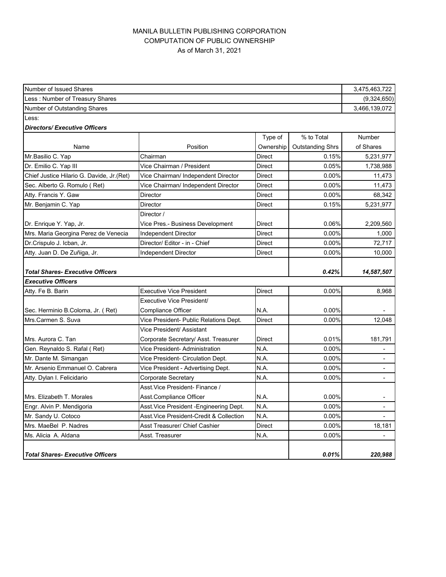## MANILA BULLETIN PUBLISHING CORPORATION COMPUTATION OF PUBLIC OWNERSHIP As of March 31, 2021

| Number of Issued Shares                    |                                          |               | 3,475,463,722           |                |
|--------------------------------------------|------------------------------------------|---------------|-------------------------|----------------|
| Less: Number of Treasury Shares            |                                          |               |                         | (9,324,650)    |
| Number of Outstanding Shares               |                                          |               |                         | 3,466,139,072  |
| Less:                                      |                                          |               |                         |                |
| <b>Directors/Executive Officers</b>        |                                          |               |                         |                |
|                                            |                                          | Type of       | % to Total              | Number         |
| Name                                       | Position                                 | Ownership     | <b>Outstanding Shrs</b> | of Shares      |
| Mr.Basilio C. Yap                          | Chairman                                 | <b>Direct</b> | 0.15%                   | 5,231,977      |
| Dr. Emilio C. Yap III                      | Vice Chairman / President                | Direct        | 0.05%                   | 1,738,988      |
| Chief Justice Hilario G. Davide, Jr. (Ret) | Vice Chairman/ Independent Director      | Direct        | 0.00%                   | 11,473         |
| Sec. Alberto G. Romulo (Ret)               | Vice Chairman/ Independent Director      | Direct        | 0.00%                   | 11,473         |
| Atty. Francis Y. Gaw                       | <b>Director</b>                          | Direct        | 0.00%                   | 68,342         |
| Mr. Benjamin C. Yap                        | Director                                 | Direct        | 0.15%                   | 5,231,977      |
|                                            | Director /                               |               |                         |                |
| Dr. Enrique Y. Yap, Jr.                    | Vice Pres.- Business Development         | Direct        | 0.06%                   | 2,209,560      |
| Mrs. Maria Georgina Perez de Venecia       | Independent Director                     | Direct        | 0.00%                   | 1,000          |
| Dr.Crispulo J. Icban, Jr.                  | Director/ Editor - in - Chief            | Direct        | 0.00%                   | 72,717         |
| Atty. Juan D. De Zuñiga, Jr.               | <b>Independent Director</b>              | Direct        | 0.00%                   | 10,000         |
| <b>Total Shares- Executive Officers</b>    |                                          |               | 0.42%                   | 14,587,507     |
| <b>Executive Officers</b>                  |                                          |               |                         |                |
| Atty. Fe B. Barin                          | <b>Executive Vice President</b>          | Direct        | $0.00\%$                | 8,968          |
|                                            | Executive Vice President/                |               |                         |                |
| Sec. Herminio B.Coloma, Jr. (Ret)          | <b>Compliance Officer</b>                | N.A.          | 0.00%                   |                |
| Mrs.Carmen S. Suva                         | Vice President- Public Relations Dept.   | Direct        | 0.00%                   | 12.048         |
|                                            | Vice President/ Assistant                |               |                         |                |
| Mrs. Aurora C. Tan                         | Corporate Secretary/ Asst. Treasurer     | Direct        | 0.01%                   | 181,791        |
| Gen. Reynaldo S. Rafal (Ret)               | Vice President- Administration           | N.A.          | 0.00%                   |                |
| Mr. Dante M. Simangan                      | Vice President- Circulation Dept.        | N.A.          | 0.00%                   |                |
| Mr. Arsenio Emmanuel O. Cabrera            | Vice President - Advertising Dept.       | N.A.          | 0.00%                   |                |
| Atty. Dylan I. Felicidario                 | Corporate Secretary                      | N.A.          | 0.00%                   | $\blacksquare$ |
|                                            | Asst. Vice President- Finance /          |               |                         |                |
| Mrs. Elizabeth T. Morales                  | Asst.Compliance Officer                  | N.A.          | $0.00\%$                | ۰              |
| Engr. Alvin P. Mendigoria                  | Asst. Vice President - Engineering Dept. | N.A.          | 0.00%                   |                |
| Mr. Sandy U. Cotoco                        | Asst.Vice President-Credit & Collection  | N.A.          | 0.00%                   |                |
| Mrs. MaeBel P. Nadres                      | Asst Treasurer/ Chief Cashier            | Direct        | 0.00%                   | 18,181         |
| Ms. Alicia A. Aldana                       | Asst. Treasurer                          | N.A.          | 0.00%                   | $\blacksquare$ |
| <b>Total Shares- Executive Officers</b>    |                                          |               | 0.01%                   | 220,988        |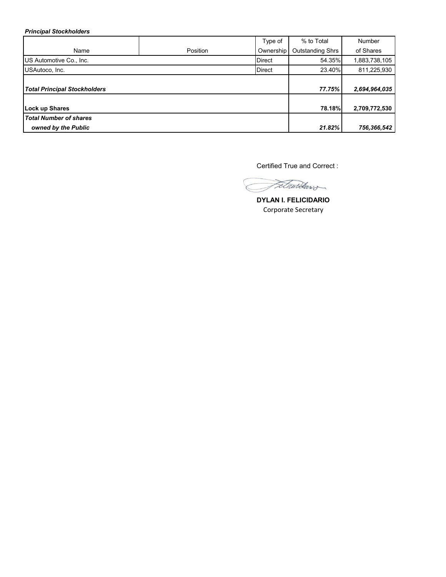*Principal Stockholders*

|                                     |          | Type of       | % to Total              | <b>Number</b> |
|-------------------------------------|----------|---------------|-------------------------|---------------|
| Name                                | Position | Ownership     | <b>Outstanding Shrs</b> | of Shares     |
| US Automotive Co., Inc.             |          | <b>Direct</b> | 54.35%                  | 1,883,738,105 |
| USAutoco, Inc.                      |          | <b>Direct</b> | 23.40%                  | 811,225,930   |
|                                     |          |               |                         |               |
| <b>Total Principal Stockholders</b> |          |               | 77.75%                  | 2,694,964,035 |
|                                     |          |               |                         |               |
| Lock up Shares                      |          |               | <b>78.18%</b>           | 2,709,772,530 |
| <b>Total Number of shares</b>       |          |               |                         |               |
| owned by the Public                 |          |               | 21.82%                  | 756,366,542   |

Certified True and Correct :

Fetwardews

**DYLAN I. FELICIDARIO** Corporate Secretary